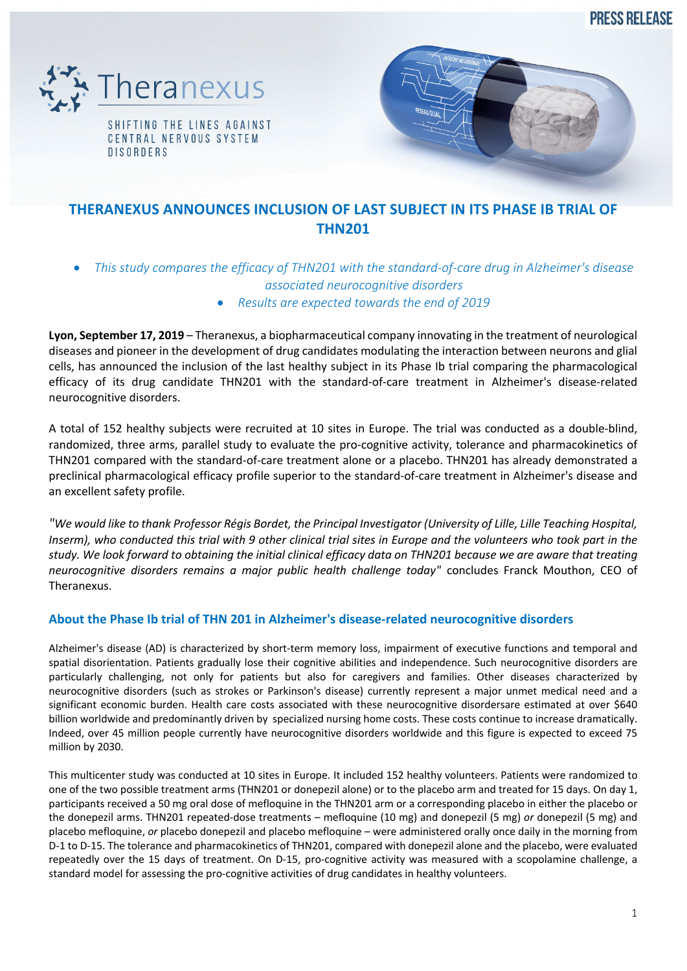**PRESS RELEASE** 



SHIFTING THE LINES AGAINST CENTRAL NERVOUS SYSTEM **DISORDERS** 



# **THERANEXUS ANNOUNCES INCLUSION OF LAST SUBJECT IN ITS PHASE IB TRIAL OF THN201**

- *This study compares the efficacy of THN201 with the standard-of-care drug in Alzheimer's disease associated neurocognitive disorders*
	- *Results are expected towards the end of 2019*

**Lyon, September 17, 2019** – Theranexus, a biopharmaceutical company innovating in the treatment of neurological diseases and pioneer in the development of drug candidates modulating the interaction between neurons and glial cells, has announced the inclusion of the last healthy subject in its Phase Ib trial comparing the pharmacological efficacy of its drug candidate THN201 with the standard-of-care treatment in Alzheimer's disease-related neurocognitive disorders.

A total of 152 healthy subjects were recruited at 10 sites in Europe. The trial was conducted as a double-blind, randomized, three arms, parallel study to evaluate the pro-cognitive activity, tolerance and pharmacokinetics of THN201 compared with the standard-of-care treatment alone or a placebo. THN201 has already demonstrated a preclinical pharmacological efficacy profile superior to the standard-of-care treatment in Alzheimer's disease and an excellent safety profile.

*"We would like to thank Professor Régis Bordet, the Principal Investigator (University of Lille, Lille Teaching Hospital, Inserm), who conducted this trial with 9 other clinical trial sites in Europe and the volunteers who took part in the study. We look forward to obtaining the initial clinical efficacy data on THN201 because we are aware that treating neurocognitive disorders remains a major public health challenge today"* concludes Franck Mouthon, CEO of Theranexus.

## **About the Phase Ib trial of THN 201 in Alzheimer's disease-related neurocognitive disorders**

Alzheimer's disease (AD) is characterized by short-term memory loss, impairment of executive functions and temporal and spatial disorientation. Patients gradually lose their cognitive abilities and independence. Such neurocognitive disorders are particularly challenging, not only for patients but also for caregivers and families. Other diseases characterized by neurocognitive disorders (such as strokes or Parkinson's disease) currently represent a major unmet medical need and a significant economic burden. Health care costs associated with these neurocognitive disordersare estimated at over \$640 billion worldwide and predominantly driven by specialized nursing home costs. These costs continue to increase dramatically. Indeed, over 45 million people currently have neurocognitive disorders worldwide and this figure is expected to exceed 75 million by 2030.

This multicenter study was conducted at 10 sites in Europe. It included 152 healthy volunteers. Patients were randomized to one of the two possible treatment arms (THN201 or donepezil alone) or to the placebo arm and treated for 15 days. On day 1, participants received a 50 mg oral dose of mefloquine in the THN201 arm or a corresponding placebo in either the placebo or the donepezil arms. THN201 repeated-dose treatments – mefloquine (10 mg) and donepezil (5 mg) *or* donepezil (5 mg) and placebo mefloquine, *or* placebo donepezil and placebo mefloquine – were administered orally once daily in the morning from D-1 to D-15. The tolerance and pharmacokinetics of THN201, compared with donepezil alone and the placebo, were evaluated repeatedly over the 15 days of treatment. On D-15, pro-cognitive activity was measured with a scopolamine challenge, a standard model for assessing the pro-cognitive activities of drug candidates in healthy volunteers.